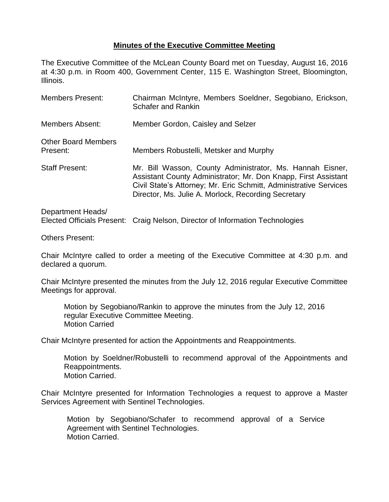## **Minutes of the Executive Committee Meeting**

The Executive Committee of the McLean County Board met on Tuesday, August 16, 2016 at 4:30 p.m. in Room 400, Government Center, 115 E. Washington Street, Bloomington, Illinois.

| <b>Members Present:</b>                | Chairman McIntyre, Members Soeldner, Segobiano, Erickson,<br><b>Schafer and Rankin</b>                                                                                                                                                                  |
|----------------------------------------|---------------------------------------------------------------------------------------------------------------------------------------------------------------------------------------------------------------------------------------------------------|
| <b>Members Absent:</b>                 | Member Gordon, Caisley and Selzer                                                                                                                                                                                                                       |
| <b>Other Board Members</b><br>Present: | Members Robustelli, Metsker and Murphy                                                                                                                                                                                                                  |
| <b>Staff Present:</b>                  | Mr. Bill Wasson, County Administrator, Ms. Hannah Eisner,<br>Assistant County Administrator; Mr. Don Knapp, First Assistant<br>Civil State's Attorney; Mr. Eric Schmitt, Administrative Services<br>Director, Ms. Julie A. Morlock, Recording Secretary |
| Department Heads/                      |                                                                                                                                                                                                                                                         |

Elected Officials Present: Craig Nelson, Director of Information Technologies

Others Present:

Chair McIntyre called to order a meeting of the Executive Committee at 4:30 p.m. and declared a quorum.

Chair McIntyre presented the minutes from the July 12, 2016 regular Executive Committee Meetings for approval.

Motion by Segobiano/Rankin to approve the minutes from the July 12, 2016 regular Executive Committee Meeting. Motion Carried

Chair McIntyre presented for action the Appointments and Reappointments.

Motion by Soeldner/Robustelli to recommend approval of the Appointments and Reappointments. Motion Carried.

Chair McIntyre presented for Information Technologies a request to approve a Master Services Agreement with Sentinel Technologies.

Motion by Segobiano/Schafer to recommend approval of a Service Agreement with Sentinel Technologies. Motion Carried.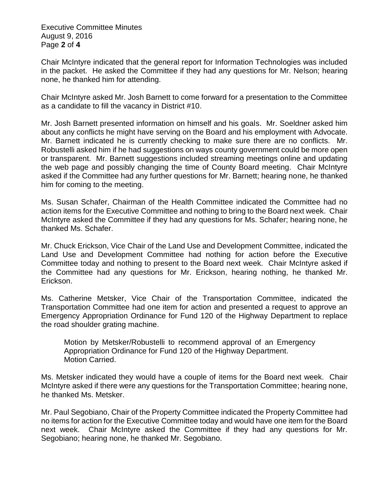Executive Committee Minutes August 9, 2016 Page **2** of **4**

Chair McIntyre indicated that the general report for Information Technologies was included in the packet. He asked the Committee if they had any questions for Mr. Nelson; hearing none, he thanked him for attending.

Chair McIntyre asked Mr. Josh Barnett to come forward for a presentation to the Committee as a candidate to fill the vacancy in District #10.

Mr. Josh Barnett presented information on himself and his goals. Mr. Soeldner asked him about any conflicts he might have serving on the Board and his employment with Advocate. Mr. Barnett indicated he is currently checking to make sure there are no conflicts. Mr. Robustelli asked him if he had suggestions on ways county government could be more open or transparent. Mr. Barnett suggestions included streaming meetings online and updating the web page and possibly changing the time of County Board meeting. Chair McIntyre asked if the Committee had any further questions for Mr. Barnett; hearing none, he thanked him for coming to the meeting.

Ms. Susan Schafer, Chairman of the Health Committee indicated the Committee had no action items for the Executive Committee and nothing to bring to the Board next week. Chair McIntyre asked the Committee if they had any questions for Ms. Schafer; hearing none, he thanked Ms. Schafer.

Mr. Chuck Erickson, Vice Chair of the Land Use and Development Committee, indicated the Land Use and Development Committee had nothing for action before the Executive Committee today and nothing to present to the Board next week. Chair McIntyre asked if the Committee had any questions for Mr. Erickson, hearing nothing, he thanked Mr. Erickson.

Ms. Catherine Metsker, Vice Chair of the Transportation Committee, indicated the Transportation Committee had one item for action and presented a request to approve an Emergency Appropriation Ordinance for Fund 120 of the Highway Department to replace the road shoulder grating machine.

Motion by Metsker/Robustelli to recommend approval of an Emergency Appropriation Ordinance for Fund 120 of the Highway Department. Motion Carried.

Ms. Metsker indicated they would have a couple of items for the Board next week. Chair McIntyre asked if there were any questions for the Transportation Committee; hearing none, he thanked Ms. Metsker.

Mr. Paul Segobiano, Chair of the Property Committee indicated the Property Committee had no items for action for the Executive Committee today and would have one item for the Board next week. Chair McIntyre asked the Committee if they had any questions for Mr. Segobiano; hearing none, he thanked Mr. Segobiano.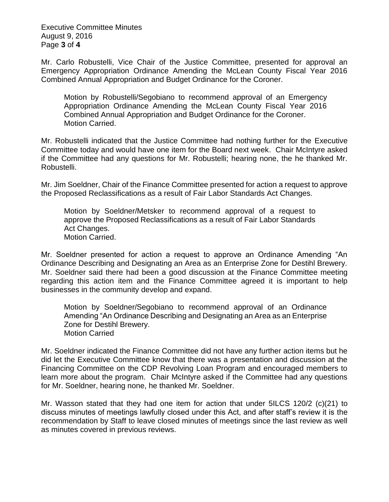Executive Committee Minutes August 9, 2016 Page **3** of **4**

Mr. Carlo Robustelli, Vice Chair of the Justice Committee, presented for approval an Emergency Appropriation Ordinance Amending the McLean County Fiscal Year 2016 Combined Annual Appropriation and Budget Ordinance for the Coroner.

Motion by Robustelli/Segobiano to recommend approval of an Emergency Appropriation Ordinance Amending the McLean County Fiscal Year 2016 Combined Annual Appropriation and Budget Ordinance for the Coroner. Motion Carried.

Mr. Robustelli indicated that the Justice Committee had nothing further for the Executive Committee today and would have one item for the Board next week. Chair McIntyre asked if the Committee had any questions for Mr. Robustelli; hearing none, the he thanked Mr. Robustelli.

Mr. Jim Soeldner, Chair of the Finance Committee presented for action a request to approve the Proposed Reclassifications as a result of Fair Labor Standards Act Changes.

Motion by Soeldner/Metsker to recommend approval of a request to approve the Proposed Reclassifications as a result of Fair Labor Standards Act Changes. Motion Carried.

Mr. Soeldner presented for action a request to approve an Ordinance Amending "An Ordinance Describing and Designating an Area as an Enterprise Zone for Destihl Brewery. Mr. Soeldner said there had been a good discussion at the Finance Committee meeting regarding this action item and the Finance Committee agreed it is important to help businesses in the community develop and expand.

Motion by Soeldner/Segobiano to recommend approval of an Ordinance Amending "An Ordinance Describing and Designating an Area as an Enterprise Zone for Destihl Brewery. Motion Carried

Mr. Soeldner indicated the Finance Committee did not have any further action items but he did let the Executive Committee know that there was a presentation and discussion at the Financing Committee on the CDP Revolving Loan Program and encouraged members to learn more about the program. Chair McIntyre asked if the Committee had any questions for Mr. Soeldner, hearing none, he thanked Mr. Soeldner.

Mr. Wasson stated that they had one item for action that under 5ILCS 120/2 (c)(21) to discuss minutes of meetings lawfully closed under this Act, and after staff's review it is the recommendation by Staff to leave closed minutes of meetings since the last review as well as minutes covered in previous reviews.